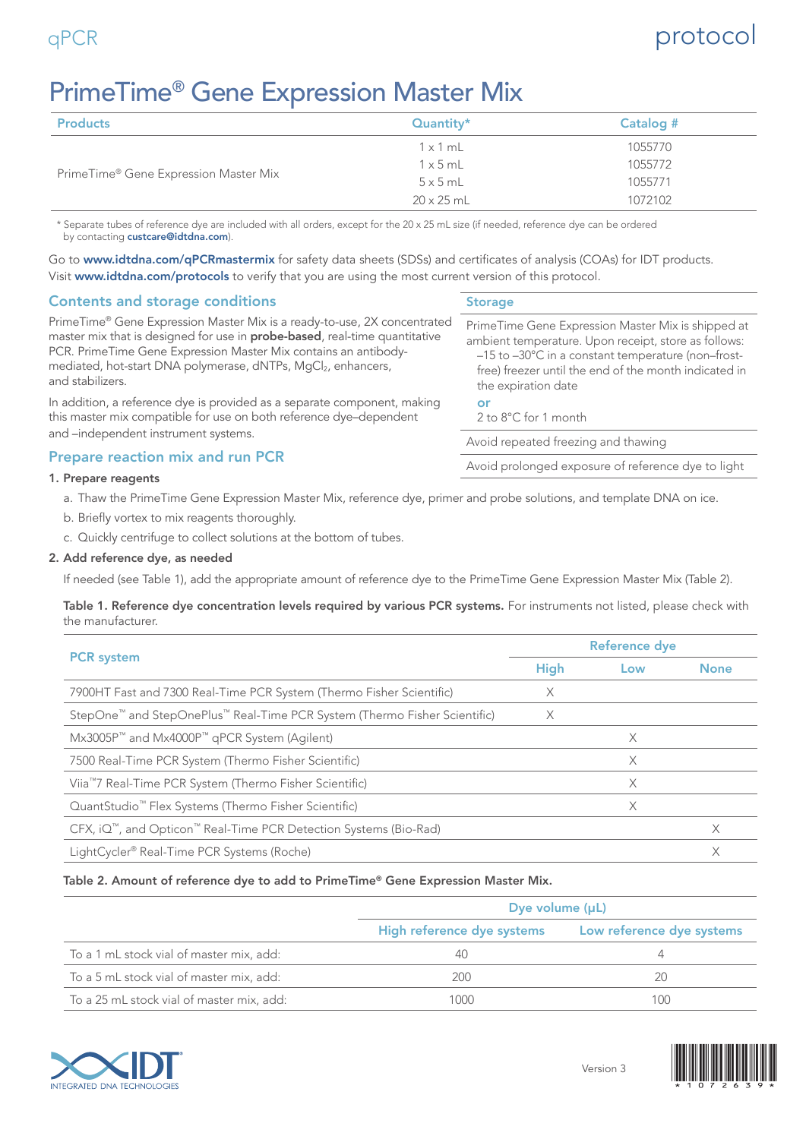# qPCR protocol

# PrimeTime® Gene Expression Master Mix

| <b>Products</b>                       | Quantity*         | Catalog # |
|---------------------------------------|-------------------|-----------|
|                                       | $1 \times 1$ mL   | 1055770   |
| PrimeTime® Gene Expression Master Mix | $1 \times 5$ mL   | 1055772   |
|                                       | $5 \times 5$ mL   | 1055771   |
|                                       | $20 \times 25$ mL | 1072102   |

\* Separate tubes of reference dye are included with all orders, except for the 20 x 25 mL size (if needed, reference dye can be ordered by contacting [custcare@idtdna.com](mailto:custcare%40idtdna.com?subject=)).

Go to [www.idtdna.com/qPCRmastermix](http://www.idtdna.com/qPCRmastermix) for safety data sheets (SDSs) and certificates of analysis (COAs) for IDT products. Visit [www.idtdna.com/protocols](http://www.idtdna.com/protocols) to verify that you are using the most current version of this protocol.

# Contents and storage conditions

| PrimeTime® Gene Expression Master Mix is a ready-to-use, 2X concentrated<br>master mix that is designed for use in <b>probe-based</b> , real-time quantitative<br>PCR. PrimeTime Gene Expression Master Mix contains an antibody-<br>mediated, hot-start DNA polymerase, dNTPs, MgCl <sub>2</sub> , enhancers, | $P_1$<br>ar |
|----------------------------------------------------------------------------------------------------------------------------------------------------------------------------------------------------------------------------------------------------------------------------------------------------------------|-------------|
| and stabilizers.                                                                                                                                                                                                                                                                                               |             |
| In addition, a reference dye is provided as a separate component, making<br>المستحار والمستحل والمستحل والمستحل والمتحل والمستحل والمستحل والمنافذ والمستحدث والمستحل والمستحدث والمنافذ                                                                                                                       |             |

this master mix compatible for use on both reference dye–dependent and –independent instrument systems.

# Prepare reaction mix and run PCR

## 1. Prepare reagents

- a. Thaw the PrimeTime Gene Expression Master Mix, reference dye, primer and probe solutions, and template DNA on ice.
- b. Briefly vortex to mix reagents thoroughly.
- c. Quickly centrifuge to collect solutions at the bottom of tubes.

## 2. Add reference dye, as needed

If needed (see Table 1), add the appropriate amount of reference dye to the PrimeTime Gene Expression Master Mix (Table 2).

Table 1. Reference dye concentration levels required by various PCR systems. For instruments not listed, please check with the manufacturer.

|                                                                                                   |             | <b>Reference dye</b> |             |  |  |
|---------------------------------------------------------------------------------------------------|-------------|----------------------|-------------|--|--|
| <b>PCR</b> system                                                                                 | <b>High</b> | Low                  | <b>None</b> |  |  |
| 7900HT Fast and 7300 Real-Time PCR System (Thermo Fisher Scientific)                              | X           |                      |             |  |  |
| StepOne <sup>™</sup> and StepOnePlus <sup>™</sup> Real-Time PCR System (Thermo Fisher Scientific) | X           |                      |             |  |  |
| $Mx3005Pm$ and $Mx4000Pm$ qPCR System (Agilent)                                                   |             | X                    |             |  |  |
| 7500 Real-Time PCR System (Thermo Fisher Scientific)                                              |             | X                    |             |  |  |
| Viia <sup>™</sup> 7 Real-Time PCR System (Thermo Fisher Scientific)                               |             | X                    |             |  |  |
| QuantStudio <sup>™</sup> Flex Systems (Thermo Fisher Scientific)                                  |             | X                    |             |  |  |
| CFX, iQ <sup>™</sup> , and Opticon <sup>™</sup> Real-Time PCR Detection Systems (Bio-Rad)         |             |                      | X           |  |  |
| LightCycler <sup>®</sup> Real-Time PCR Systems (Roche)                                            |             |                      | Χ           |  |  |

## Table 2. Amount of reference dye to add to PrimeTime® Gene Expression Master Mix.

|                                           | Dye volume $(\mu L)$       |                           |  |
|-------------------------------------------|----------------------------|---------------------------|--|
|                                           | High reference dye systems | Low reference dye systems |  |
| To a 1 mL stock vial of master mix, add:  |                            |                           |  |
| To a 5 mL stock vial of master mix, add:  | 200                        | 20                        |  |
| To a 25 mL stock vial of master mix, add: | 1000                       | 100                       |  |



### Version 3



## **Storage**

| PrimeTime Gene Expression Master Mix is shipped at    |
|-------------------------------------------------------|
| ambient temperature. Upon receipt, store as follows:  |
| -15 to -30°C in a constant temperature (non-frost-    |
| free) freezer until the end of the month indicated in |
| the expiration date                                   |
| or                                                    |
| 2 to 8°C for 1 month                                  |
|                                                       |

Avoid repeated freezing and thawing

Avoid prolonged exposure of reference dye to light